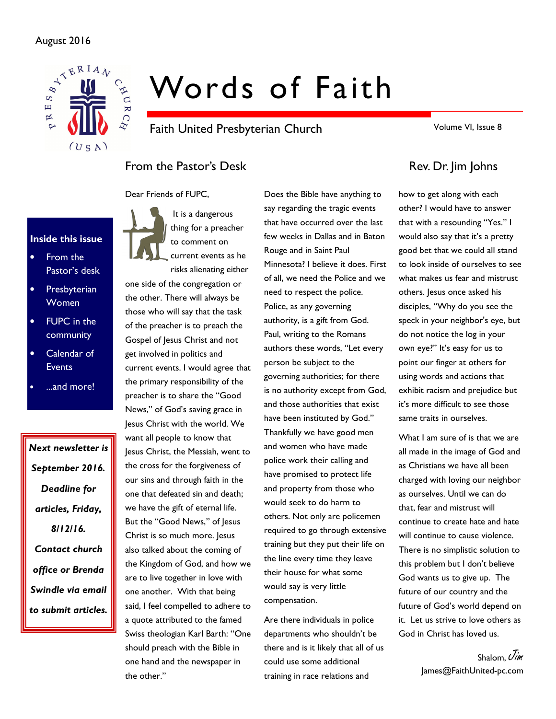#### August 2016



# Words of Faith

Faith United Presbyterian Church

Volume VI, Issue 8

# From the Pastor's Desk Rev. Dr. Jim Johns

Dear Friends of FUPC,



- From the Pastor's desk
- **Presbyterian** Women
- **FUPC** in the community
- Calendar of **Events**
- ...and more!

Next newsletter is September 2016. Deadline for articles, Friday, 8/12/16. Contact church office or Brenda Swindle via email to submit articles.

It is a dangerous thing for a preacher to comment on current events as he risks alienating either

one side of the congregation or the other. There will always be those who will say that the task of the preacher is to preach the Gospel of Jesus Christ and not get involved in politics and current events. I would agree that the primary responsibility of the preacher is to share the "Good News," of God's saving grace in Jesus Christ with the world. We want all people to know that Jesus Christ, the Messiah, went to the cross for the forgiveness of our sins and through faith in the one that defeated sin and death; we have the gift of eternal life. But the "Good News," of Jesus Christ is so much more. Jesus also talked about the coming of the Kingdom of God, and how we are to live together in love with one another. With that being said, I feel compelled to adhere to a quote attributed to the famed Swiss theologian Karl Barth: "One should preach with the Bible in one hand and the newspaper in the other."

Does the Bible have anything to say regarding the tragic events that have occurred over the last few weeks in Dallas and in Baton Rouge and in Saint Paul Minnesota? I believe it does. First of all, we need the Police and we need to respect the police. Police, as any governing authority, is a gift from God. Paul, writing to the Romans authors these words, "Let every person be subject to the governing authorities; for there is no authority except from God, and those authorities that exist have been instituted by God." Thankfully we have good men and women who have made police work their calling and have promised to protect life and property from those who would seek to do harm to others. Not only are policemen required to go through extensive training but they put their life on the line every time they leave their house for what some would say is very little compensation.

Are there individuals in police departments who shouldn't be there and is it likely that all of us could use some additional training in race relations and

how to get along with each other? I would have to answer that with a resounding "Yes." I would also say that it's a pretty good bet that we could all stand to look inside of ourselves to see what makes us fear and mistrust others. Jesus once asked his disciples, "Why do you see the speck in your neighbor's eye, but do not notice the log in your own eye?" It's easy for us to point our finger at others for using words and actions that exhibit racism and prejudice but it's more difficult to see those same traits in ourselves.

What I am sure of is that we are all made in the image of God and as Christians we have all been charged with loving our neighbor as ourselves. Until we can do that, fear and mistrust will continue to create hate and hate will continue to cause violence. There is no simplistic solution to this problem but I don't believe God wants us to give up. The future of our country and the future of God's world depend on it. Let us strive to love others as God in Christ has loved us.

> Shalom,  $\vec{U}$ im James@FaithUnited-pc.com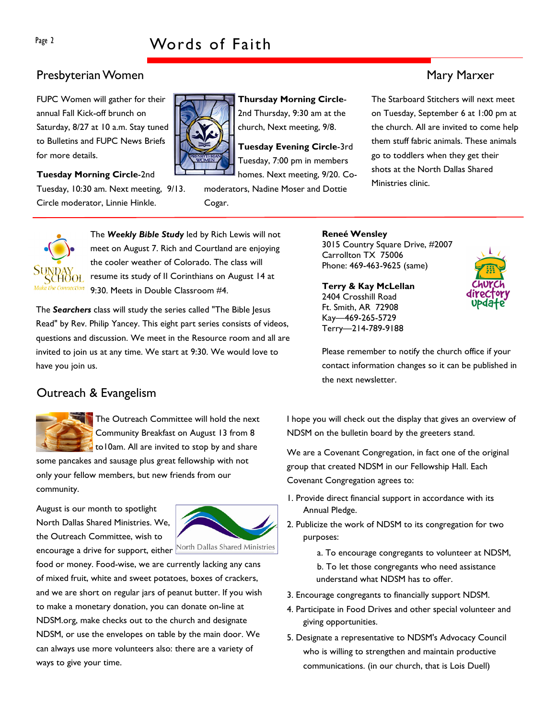# Presbyterian Women Mary Marxer (1999) and the state of the Mary Marxer (1999) and Mary Marxer (1999) and Mary Marxer

FUPC Women will gather for their annual Fall Kick-off brunch on Saturday, 8/27 at 10 a.m. Stay tuned to Bulletins and FUPC News Briefs for more details.

#### Tuesday Morning Circle-2nd

Tuesday, 10:30 am. Next meeting, 9/13. Circle moderator, Linnie Hinkle.



Thursday Morning Circle-2nd Thursday, 9:30 am at the church, Next meeting, 9/8.

Tuesday Evening Circle-3rd Tuesday, 7:00 pm in members homes. Next meeting, 9/20. Co-

moderators, Nadine Moser and Dottie Cogar.



The Weekly Bible Study led by Rich Lewis will not meet on August 7. Rich and Courtland are enjoying the cooler weather of Colorado. The class will resume its study of II Corinthians on August 14 at 9:30. Meets in Double Classroom #4.

The Searchers class will study the series called "The Bible Jesus Read" by Rev. Philip Yancey. This eight part series consists of videos, questions and discussion. We meet in the Resource room and all are invited to join us at any time. We start at 9:30. We would love to have you join us.

#### Carrollton TX 75006 Phone: 469-463-9625 (same)

3015 Country Square Drive, #2007

Reneé Wensley

Terry & Kay McLellan 2404 Crosshill Road Ft. Smith, AR 72908 Kay—469-265-5729 Terry—214-789-9188



Please remember to notify the church office if your contact information changes so it can be published in the next newsletter.

# Outreach & Evangelism



The Outreach Committee will hold the next Community Breakfast on August 13 from 8 to10am. All are invited to stop by and share

some pancakes and sausage plus great fellowship with not only your fellow members, but new friends from our community.

August is our month to spotlight North Dallas Shared Ministries. We, the Outreach Committee, wish to encourage a drive for support, either North Dallas Shared Ministries



food or money. Food-wise, we are currently lacking any cans of mixed fruit, white and sweet potatoes, boxes of crackers, and we are short on regular jars of peanut butter. If you wish to make a monetary donation, you can donate on-line at NDSM.org, make checks out to the church and designate NDSM, or use the envelopes on table by the main door. We can always use more volunteers also: there are a variety of ways to give your time.

I hope you will check out the display that gives an overview of NDSM on the bulletin board by the greeters stand.

We are a Covenant Congregation, in fact one of the original group that created NDSM in our Fellowship Hall. Each Covenant Congregation agrees to:

- 1. Provide direct financial support in accordance with its Annual Pledge.
- 2. Publicize the work of NDSM to its congregation for two purposes:

a. To encourage congregants to volunteer at NDSM,

- b. To let those congregants who need assistance understand what NDSM has to offer.
- 3. Encourage congregants to financially support NDSM.
- 4. Participate in Food Drives and other special volunteer and giving opportunities.
- 5. Designate a representative to NDSM's Advocacy Council who is willing to strengthen and maintain productive communications. (in our church, that is Lois Duell)

The Starboard Stitchers will next meet on Tuesday, September 6 at 1:00 pm at the church. All are invited to come help them stuff fabric animals. These animals go to toddlers when they get their shots at the North Dallas Shared Ministries clinic.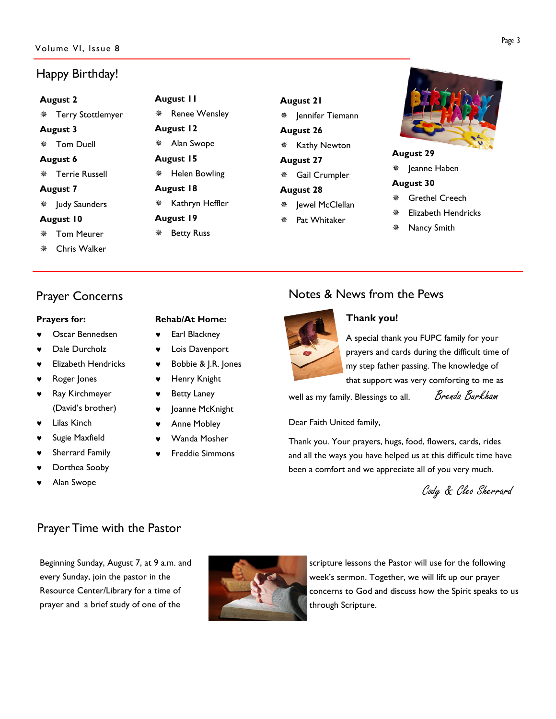# Happy Birthday!

# August 2 **\*** Terry Stottlemyer August 3 Tom Duell August 6 Terrie Russell August 7 Judy Saunders August 10

- Tom Meurer
- Chris Walker

# Prayer Concerns

#### Prayers for:

- Oscar Bennedsen
- Dale Durcholz
- **Elizabeth Hendricks**
- Roger Jones
- ♥ Ray Kirchmeyer (David's brother)
- **Lilas Kinch**
- Sugie Maxfield
- Sherrard Family
- Dorthea Sooby
- Alan Swope

### Rehab/At Home:

August 11

August 12 Alan Swope August 15

August 18

August 19 **※ Betty Russ** 

\* Renee Wensley

Helen Bowling

\* Kathryn Heffler

- Earl Blackney
- Lois Davenport
- Bobbie & J.R. Jones
- ♥ Henry Knight
- **Betty Laney**
- Joanne McKnight
- Anne Mobley
- Wanda Mosher
- **Freddie Simmons**

# August 21

 $%$  | ennifer Tiemann August 26

\* Kathy Newton

August 27

Gail Crumpler

#### August 28

- Jewel McClellan
- Pat Whitaker



#### August 29

Jeanne Haben

#### August 30

- Grethel Creech
- Elizabeth Hendricks
- Nancy Smith

# Notes & News from the Pews



# Thank you!

A special thank you FUPC family for your prayers and cards during the difficult time of my step father passing. The knowledge of that support was very comforting to me as

well as my family. Blessings to all. Brenda Burkham

Dear Faith United family,

Thank you. Your prayers, hugs, food, flowers, cards, rides and all the ways you have helped us at this difficult time have been a comfort and we appreciate all of you very much.

Cody & Cleo Sherrard

# Prayer Time with the Pastor

Beginning Sunday, August 7, at 9 a.m. and every Sunday, join the pastor in the Resource Center/Library for a time of prayer and a brief study of one of the



scripture lessons the Pastor will use for the following week's sermon. Together, we will lift up our prayer concerns to God and discuss how the Spirit speaks to us through Scripture.